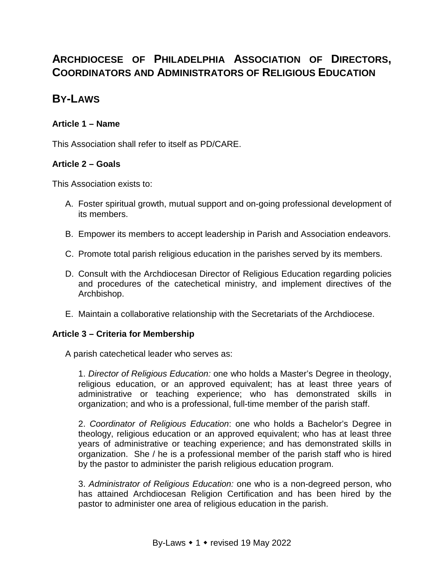# **ARCHDIOCESE OF PHILADELPHIA ASSOCIATION OF DIRECTORS, COORDINATORS AND ADMINISTRATORS OF RELIGIOUS EDUCATION**

# **BY-LAWS**

# **Article 1 – Name**

This Association shall refer to itself as PD/CARE.

# **Article 2 – Goals**

This Association exists to:

- A. Foster spiritual growth, mutual support and on-going professional development of its members.
- B. Empower its members to accept leadership in Parish and Association endeavors.
- C. Promote total parish religious education in the parishes served by its members.
- D. Consult with the Archdiocesan Director of Religious Education regarding policies and procedures of the catechetical ministry, and implement directives of the Archbishop.
- E. Maintain a collaborative relationship with the Secretariats of the Archdiocese.

# **Article 3 – Criteria for Membership**

A parish catechetical leader who serves as:

1. *Director of Religious Education:* one who holds a Master's Degree in theology, religious education, or an approved equivalent; has at least three years of administrative or teaching experience; who has demonstrated skills in organization; and who is a professional, full-time member of the parish staff.

2. *Coordinator of Religious Education*: one who holds a Bachelor's Degree in theology, religious education or an approved equivalent; who has at least three years of administrative or teaching experience; and has demonstrated skills in organization. She / he is a professional member of the parish staff who is hired by the pastor to administer the parish religious education program.

3. *Administrator of Religious Education:* one who is a non-degreed person, who has attained Archdiocesan Religion Certification and has been hired by the pastor to administer one area of religious education in the parish.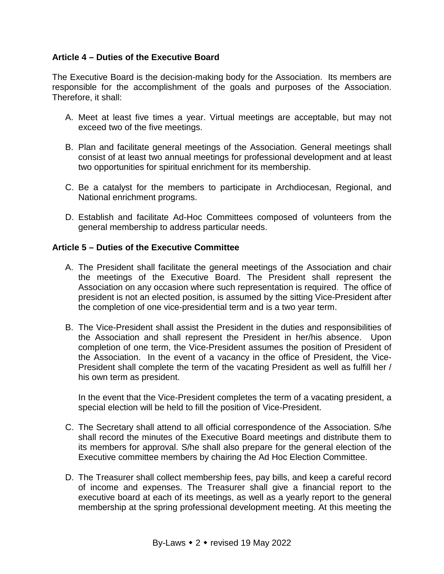# **Article 4 – Duties of the Executive Board**

The Executive Board is the decision-making body for the Association. Its members are responsible for the accomplishment of the goals and purposes of the Association. Therefore, it shall:

- A. Meet at least five times a year. Virtual meetings are acceptable, but may not exceed two of the five meetings.
- B. Plan and facilitate general meetings of the Association. General meetings shall consist of at least two annual meetings for professional development and at least two opportunities for spiritual enrichment for its membership.
- C. Be a catalyst for the members to participate in Archdiocesan, Regional, and National enrichment programs.
- D. Establish and facilitate Ad-Hoc Committees composed of volunteers from the general membership to address particular needs.

## **Article 5 – Duties of the Executive Committee**

- A. The President shall facilitate the general meetings of the Association and chair the meetings of the Executive Board. The President shall represent the Association on any occasion where such representation is required. The office of president is not an elected position, is assumed by the sitting Vice-President after the completion of one vice-presidential term and is a two year term.
- B. The Vice-President shall assist the President in the duties and responsibilities of the Association and shall represent the President in her/his absence. Upon completion of one term, the Vice-President assumes the position of President of the Association. In the event of a vacancy in the office of President, the Vice-President shall complete the term of the vacating President as well as fulfill her / his own term as president.

In the event that the Vice-President completes the term of a vacating president, a special election will be held to fill the position of Vice-President.

- C. The Secretary shall attend to all official correspondence of the Association. S/he shall record the minutes of the Executive Board meetings and distribute them to its members for approval. S/he shall also prepare for the general election of the Executive committee members by chairing the Ad Hoc Election Committee.
- D. The Treasurer shall collect membership fees, pay bills, and keep a careful record of income and expenses. The Treasurer shall give a financial report to the executive board at each of its meetings, as well as a yearly report to the general membership at the spring professional development meeting. At this meeting the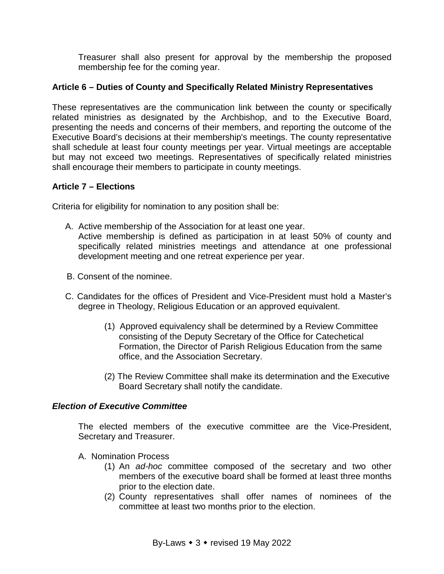Treasurer shall also present for approval by the membership the proposed membership fee for the coming year.

# **Article 6 – Duties of County and Specifically Related Ministry Representatives**

These representatives are the communication link between the county or specifically related ministries as designated by the Archbishop, and to the Executive Board, presenting the needs and concerns of their members, and reporting the outcome of the Executive Board's decisions at their membership's meetings. The county representative shall schedule at least four county meetings per year. Virtual meetings are acceptable but may not exceed two meetings. Representatives of specifically related ministries shall encourage their members to participate in county meetings.

## **Article 7 – Elections**

Criteria for eligibility for nomination to any position shall be:

- A. Active membership of the Association for at least one year. Active membership is defined as participation in at least 50% of county and specifically related ministries meetings and attendance at one professional development meeting and one retreat experience per year.
- B. Consent of the nominee.
- C. Candidates for the offices of President and Vice-President must hold a Master's degree in Theology, Religious Education or an approved equivalent.
	- (1) Approved equivalency shall be determined by a Review Committee consisting of the Deputy Secretary of the Office for Catechetical Formation, the Director of Parish Religious Education from the same office, and the Association Secretary.
	- (2) The Review Committee shall make its determination and the Executive Board Secretary shall notify the candidate.

## *Election of Executive Committee*

The elected members of the executive committee are the Vice-President, Secretary and Treasurer.

- A. Nomination Process
	- (1) An *ad-hoc* committee composed of the secretary and two other members of the executive board shall be formed at least three months prior to the election date.
	- (2) County representatives shall offer names of nominees of the committee at least two months prior to the election.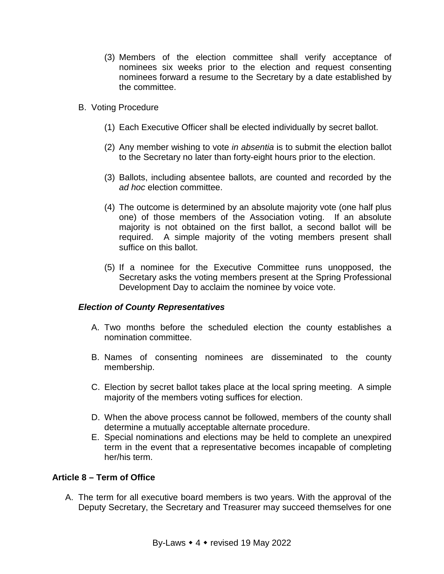- (3) Members of the election committee shall verify acceptance of nominees six weeks prior to the election and request consenting nominees forward a resume to the Secretary by a date established by the committee.
- B. Voting Procedure
	- (1) Each Executive Officer shall be elected individually by secret ballot.
	- (2) Any member wishing to vote *in absentia* is to submit the election ballot to the Secretary no later than forty-eight hours prior to the election.
	- (3) Ballots, including absentee ballots, are counted and recorded by the *ad hoc* election committee.
	- (4) The outcome is determined by an absolute majority vote (one half plus one) of those members of the Association voting. If an absolute majority is not obtained on the first ballot, a second ballot will be required. A simple majority of the voting members present shall suffice on this ballot.
	- (5) If a nominee for the Executive Committee runs unopposed, the Secretary asks the voting members present at the Spring Professional Development Day to acclaim the nominee by voice vote.

#### *Election of County Representatives*

- A. Two months before the scheduled election the county establishes a nomination committee.
- B. Names of consenting nominees are disseminated to the county membership.
- C. Election by secret ballot takes place at the local spring meeting. A simple majority of the members voting suffices for election.
- D. When the above process cannot be followed, members of the county shall determine a mutually acceptable alternate procedure.
- E. Special nominations and elections may be held to complete an unexpired term in the event that a representative becomes incapable of completing her/his term.

#### **Article 8 – Term of Office**

A. The term for all executive board members is two years. With the approval of the Deputy Secretary, the Secretary and Treasurer may succeed themselves for one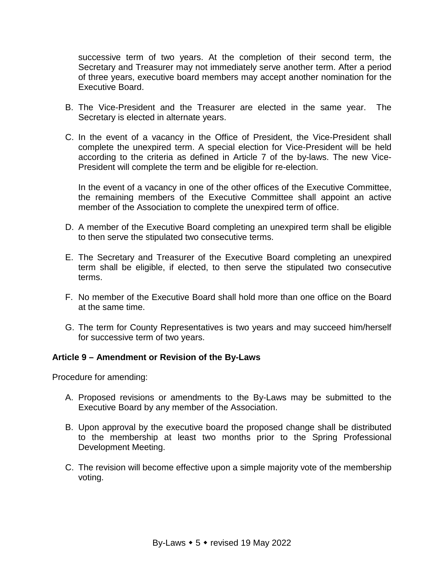successive term of two years. At the completion of their second term, the Secretary and Treasurer may not immediately serve another term. After a period of three years, executive board members may accept another nomination for the Executive Board.

- B. The Vice-President and the Treasurer are elected in the same year. The Secretary is elected in alternate years.
- C. In the event of a vacancy in the Office of President, the Vice-President shall complete the unexpired term. A special election for Vice-President will be held according to the criteria as defined in Article 7 of the by-laws. The new Vice-President will complete the term and be eligible for re-election.

In the event of a vacancy in one of the other offices of the Executive Committee, the remaining members of the Executive Committee shall appoint an active member of the Association to complete the unexpired term of office.

- D. A member of the Executive Board completing an unexpired term shall be eligible to then serve the stipulated two consecutive terms.
- E. The Secretary and Treasurer of the Executive Board completing an unexpired term shall be eligible, if elected, to then serve the stipulated two consecutive terms.
- F. No member of the Executive Board shall hold more than one office on the Board at the same time.
- G. The term for County Representatives is two years and may succeed him/herself for successive term of two years.

## **Article 9 – Amendment or Revision of the By-Laws**

Procedure for amending:

- A. Proposed revisions or amendments to the By-Laws may be submitted to the Executive Board by any member of the Association.
- B. Upon approval by the executive board the proposed change shall be distributed to the membership at least two months prior to the Spring Professional Development Meeting.
- C. The revision will become effective upon a simple majority vote of the membership voting.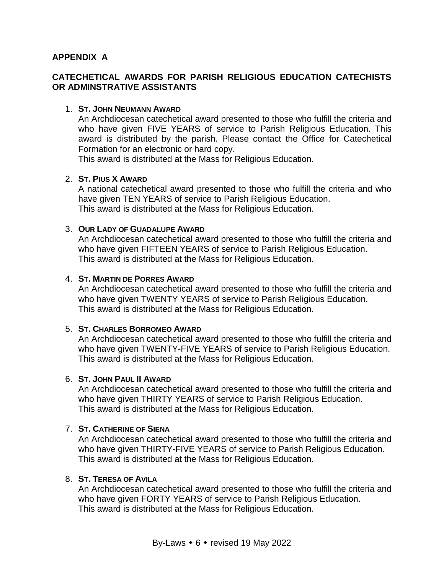# **APPENDIX A**

# **CATECHETICAL AWARDS FOR PARISH RELIGIOUS EDUCATION CATECHISTS OR ADMINSTRATIVE ASSISTANTS**

#### 1. **ST. JOHN NEUMANN AWARD**

An Archdiocesan catechetical award presented to those who fulfill the criteria and who have given FIVE YEARS of service to Parish Religious Education. This award is distributed by the parish. Please contact the Office for Catechetical Formation for an electronic or hard copy.

This award is distributed at the Mass for Religious Education.

# 2. **ST. PIUS X AWARD**

A national catechetical award presented to those who fulfill the criteria and who have given TEN YEARS of service to Parish Religious Education. This award is distributed at the Mass for Religious Education.

#### 3. **OUR LADY OF GUADALUPE AWARD**

An Archdiocesan catechetical award presented to those who fulfill the criteria and who have given FIFTEEN YEARS of service to Parish Religious Education. This award is distributed at the Mass for Religious Education.

#### 4. **ST. MARTIN DE PORRES AWARD**

An Archdiocesan catechetical award presented to those who fulfill the criteria and who have given TWENTY YEARS of service to Parish Religious Education. This award is distributed at the Mass for Religious Education.

### 5. **ST. CHARLES BORROMEO AWARD**

An Archdiocesan catechetical award presented to those who fulfill the criteria and who have given TWENTY-FIVE YEARS of service to Parish Religious Education. This award is distributed at the Mass for Religious Education.

#### 6. **ST. JOHN PAUL II AWARD**

An Archdiocesan catechetical award presented to those who fulfill the criteria and who have given THIRTY YEARS of service to Parish Religious Education. This award is distributed at the Mass for Religious Education.

#### 7. **ST. CATHERINE OF SIENA**

An Archdiocesan catechetical award presented to those who fulfill the criteria and who have given THIRTY-FIVE YEARS of service to Parish Religious Education. This award is distributed at the Mass for Religious Education.

# 8. **ST. TERESA OF AVILA**

An Archdiocesan catechetical award presented to those who fulfill the criteria and who have given FORTY YEARS of service to Parish Religious Education. This award is distributed at the Mass for Religious Education.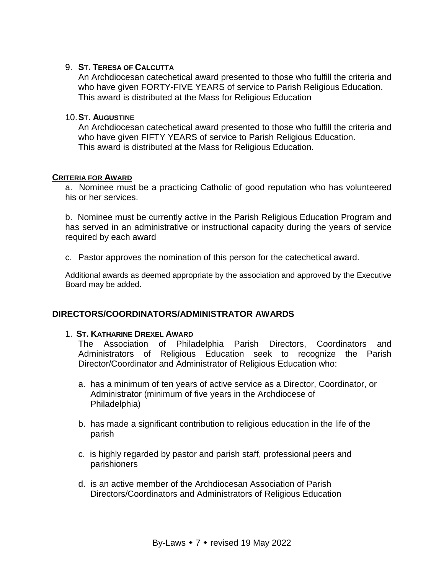### 9. **ST. TERESA OF CALCUTTA**

An Archdiocesan catechetical award presented to those who fulfill the criteria and who have given FORTY-FIVE YEARS of service to Parish Religious Education. This award is distributed at the Mass for Religious Education

#### 10.**ST. AUGUSTINE**

An Archdiocesan catechetical award presented to those who fulfill the criteria and who have given FIFTY YEARS of service to Parish Religious Education. This award is distributed at the Mass for Religious Education.

#### **CRITERIA FOR AWARD**

a. Nominee must be a practicing Catholic of good reputation who has volunteered his or her services.

b. Nominee must be currently active in the Parish Religious Education Program and has served in an administrative or instructional capacity during the years of service required by each award

c. Pastor approves the nomination of this person for the catechetical award.

Additional awards as deemed appropriate by the association and approved by the Executive Board may be added.

## **DIRECTORS/COORDINATORS/ADMINISTRATOR AWARDS**

#### 1. **ST. KATHARINE DREXEL AWARD**

The Association of Philadelphia Parish Directors, Coordinators and Administrators of Religious Education seek to recognize the Parish Director/Coordinator and Administrator of Religious Education who:

- a. has a minimum of ten years of active service as a Director, Coordinator, or Administrator (minimum of five years in the Archdiocese of Philadelphia)
- b. has made a significant contribution to religious education in the life of the parish
- c. is highly regarded by pastor and parish staff, professional peers and parishioners
- d. is an active member of the Archdiocesan Association of Parish Directors/Coordinators and Administrators of Religious Education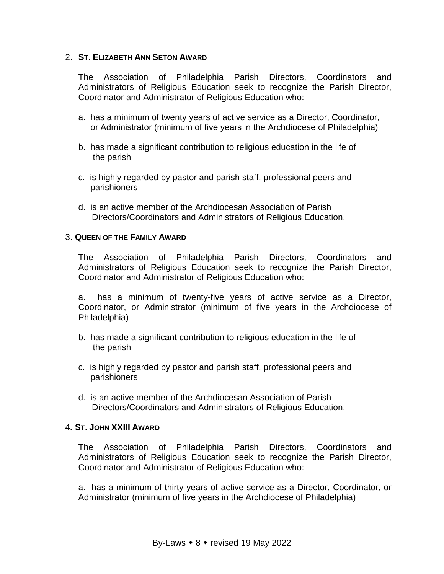#### 2. **ST. ELIZABETH ANN SETON AWARD**

The Association of Philadelphia Parish Directors, Coordinators and Administrators of Religious Education seek to recognize the Parish Director, Coordinator and Administrator of Religious Education who:

- a. has a minimum of twenty years of active service as a Director, Coordinator, or Administrator (minimum of five years in the Archdiocese of Philadelphia)
- b. has made a significant contribution to religious education in the life of the parish
- c. is highly regarded by pastor and parish staff, professional peers and parishioners
- d. is an active member of the Archdiocesan Association of Parish Directors/Coordinators and Administrators of Religious Education.

#### 3. **QUEEN OF THE FAMILY AWARD**

The Association of Philadelphia Parish Directors, Coordinators and Administrators of Religious Education seek to recognize the Parish Director, Coordinator and Administrator of Religious Education who:

a. has a minimum of twenty-five years of active service as a Director, Coordinator, or Administrator (minimum of five years in the Archdiocese of Philadelphia)

- b. has made a significant contribution to religious education in the life of the parish
- c. is highly regarded by pastor and parish staff, professional peers and parishioners
- d. is an active member of the Archdiocesan Association of Parish Directors/Coordinators and Administrators of Religious Education.

#### 4**. ST. JOHN XXIII AWARD**

The Association of Philadelphia Parish Directors, Coordinators and Administrators of Religious Education seek to recognize the Parish Director, Coordinator and Administrator of Religious Education who:

a. has a minimum of thirty years of active service as a Director, Coordinator, or Administrator (minimum of five years in the Archdiocese of Philadelphia)